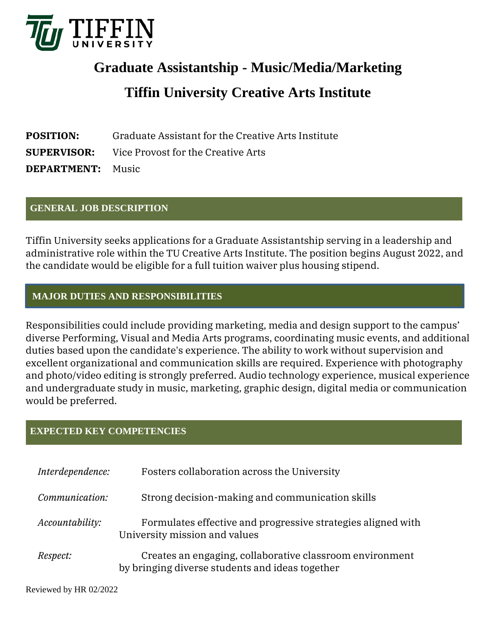

# **Graduate Assistantship - Music/Media/Marketing Tiffin University Creative Arts Institute**

| <b>POSITION:</b>         | Graduate Assistant for the Creative Arts Institute    |
|--------------------------|-------------------------------------------------------|
|                          | <b>SUPERVISOR:</b> Vice Provost for the Creative Arts |
| <b>DEPARTMENT:</b> Music |                                                       |

### **GENERAL JOB DESCRIPTION**

Tiffin University seeks applications for a Graduate Assistantship serving in a leadership and administrative role within the TU Creative Arts Institute. The position begins August 2022, and the candidate would be eligible for a full tuition waiver plus housing stipend.

## **MAJOR DUTIES AND RESPONSIBILITIES**

Responsibilities could include providing marketing, media and design support to the campus' diverse Performing, Visual and Media Arts programs, coordinating music events, and additional duties based upon the candidate's experience. The ability to work without supervision and excellent organizational and communication skills are required. Experience with photography and photo/video editing is strongly preferred. Audio technology experience, musical experience and undergraduate study in music, marketing, graphic design, digital media or communication would be preferred.

## **EXPECTED KEY COMPETENCIES**

| Interdependence:       | Fosters collaboration across the University                                                                 |
|------------------------|-------------------------------------------------------------------------------------------------------------|
| Communication:         | Strong decision-making and communication skills                                                             |
| <i>Accountability:</i> | Formulates effective and progressive strategies aligned with<br>University mission and values               |
| <i>Respect:</i>        | Creates an engaging, collaborative classroom environment<br>by bringing diverse students and ideas together |

Reviewed by HR 02/2022